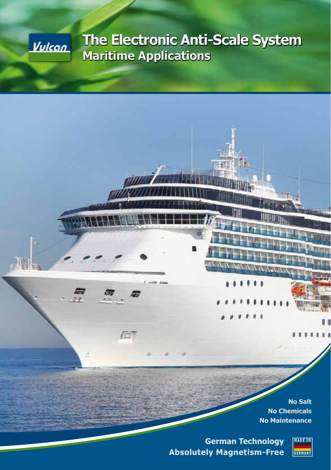

# **The Electronic Anti-Scale System Maritime Applications**

а 震 F d zð. **No Salt No Chemicals No Maintenance MADE IN**

**German Technology Absolutely Magnetism-Free**

**GERMANY**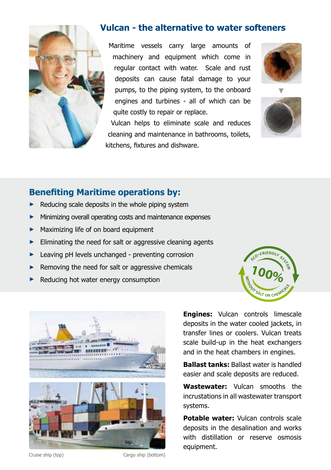

#### **Vulcan - the alternative to water softeners**

Maritime vessels carry large amounts of machinery and equipment which come in regular contact with water. Scale and rust deposits can cause fatal damage to your pumps, to the piping system, to the onboard engines and turbines - all of which can be quite costly to repair or replace.

Vulcan helps to eliminate scale and reduces cleaning and maintenance in bathrooms, toilets, kitchens, fixtures and dishware.





## **Benefiting Maritime operations by:**

- **►** Reducing scale deposits in the whole piping system
- Minimizing overall operating costs and maintenance expenses
- **►** Maximizing life of on board equipment
- **►** Eliminating the need for salt or aggressive cleaning agents
- Leaving pH levels unchanged preventing corrosion
- **►** Removing the need for salt or aggressive chemicals
- **►** Reducing hot water energy consumption





**Engines:** Vulcan controls limescale deposits in the water cooled jackets, in transfer lines or coolers. Vulcan treats scale build-up in the heat exchangers and in the heat chambers in engines.

**Ballast tanks:** Ballast water is handled easier and scale deposits are reduced.

**Wastewater:** Vulcan smooths the incrustations in all wastewater transport systems.

**Potable water:** Vulcan controls scale deposits in the desalination and works with distillation or reserve osmosis equipment.

Cruise ship (top) Cargo ship (bottom)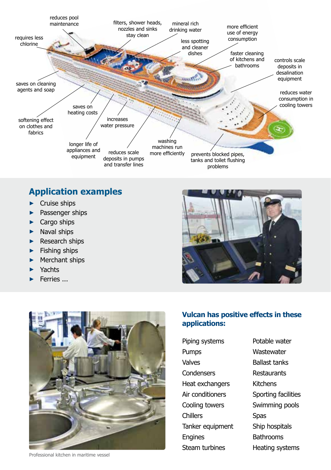

### **Application examples**

- ► Cruise ships
- Passenger ships
- ► Cargo ships
- ► Naval ships
- ► Research ships
- ► Fishing ships
- Merchant ships
- ► Yachts
- ► Ferries ...







Professional kitchen in maritime vessel

Piping systems Pumps Valves Condensers Heat exchangers Air conditioners Cooling towers **Chillers** Tanker equipment Engines Steam turbines

Potable water **Wastewater** Ballast tanks Restaurants Kitchens Sporting facilities Swimming pools **Spas** Ship hospitals **Bathrooms** Heating systems